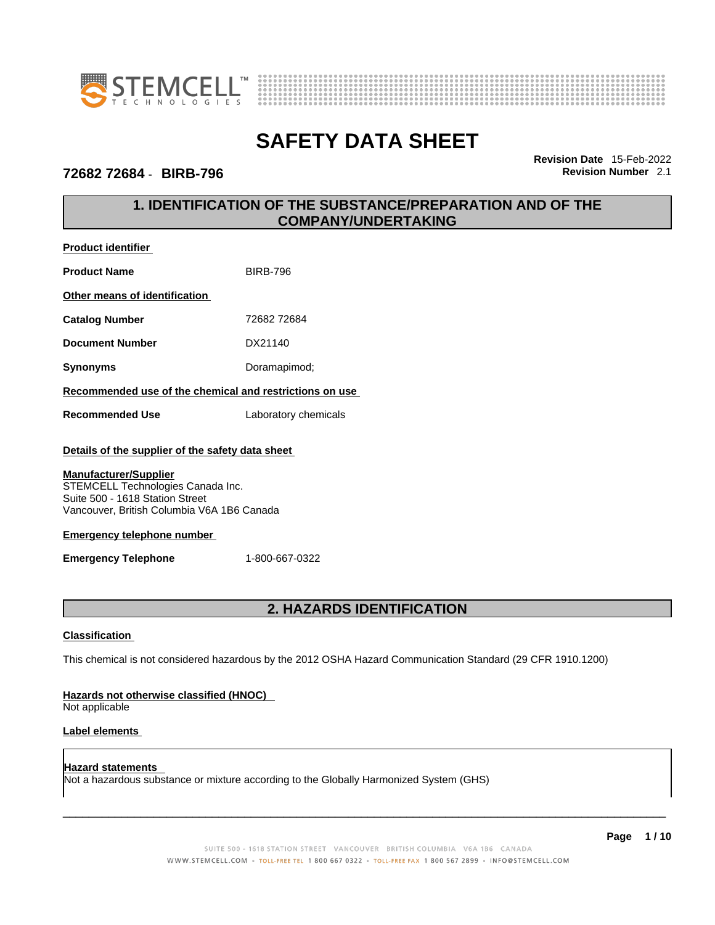



## **72682 72684** - **BIRB-796 Revision Number** 2.1

**Product identifier**

**Revision Date** 15-Feb-2022

# **1. IDENTIFICATION OF THE SUBSTANCE/PREPARATION AND OF THE COMPANY/UNDERTAKING**

| <b>Product Name</b>                                                                                                                                | <b>BIRB-796</b>      |
|----------------------------------------------------------------------------------------------------------------------------------------------------|----------------------|
| Other means of identification                                                                                                                      |                      |
| <b>Catalog Number</b>                                                                                                                              | 72682 72684          |
| <b>Document Number</b>                                                                                                                             | DX21140              |
| Synonyms                                                                                                                                           | Doramapimod;         |
| Recommended use of the chemical and restrictions on use                                                                                            |                      |
| <b>Recommended Use</b>                                                                                                                             | Laboratory chemicals |
| Details of the supplier of the safety data sheet                                                                                                   |                      |
| <b>Manufacturer/Supplier</b><br>STEMCELL Technologies Canada Inc.<br>Suite 500 - 1618 Station Street<br>Vancouver, British Columbia V6A 1B6 Canada |                      |
| <b>Emergency telephone number</b>                                                                                                                  |                      |
| <b>Emergency Telephone</b>                                                                                                                         | 1-800-667-0322       |
|                                                                                                                                                    |                      |

# **2. HAZARDS IDENTIFICATION**

### **Classification**

This chemical is not considered hazardous by the 2012 OSHA Hazard Communication Standard (29 CFR 1910.1200)

### **Hazards not otherwise classified (HNOC)**

Not applicable

### **Label elements**

**Hazard statements**  Not a hazardous substance or mixture according to the Globally Harmonized System (GHS)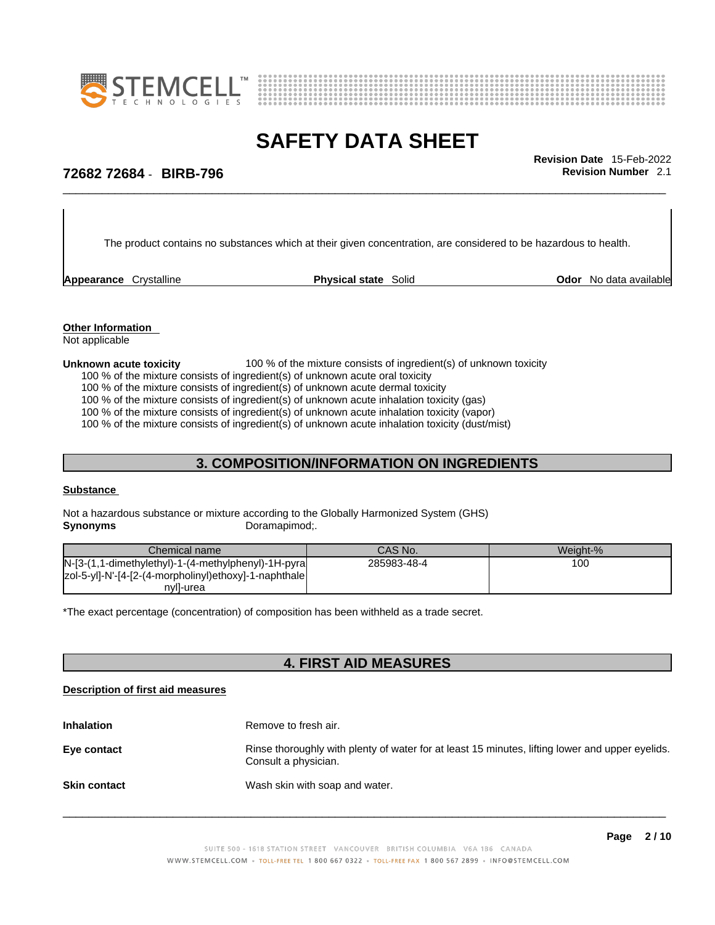



\_\_\_\_\_\_\_\_\_\_\_\_\_\_\_\_\_\_\_\_\_\_\_\_\_\_\_\_\_\_\_\_\_\_\_\_\_\_\_\_\_\_\_\_\_\_\_\_\_\_\_\_\_\_\_\_\_\_\_\_\_\_\_\_\_\_\_\_\_\_\_\_\_\_\_\_\_\_\_\_\_\_\_\_\_\_\_\_\_\_\_\_\_ **Revision Date** 15-Feb-2022

# **72682 72684** - **BIRB-796 Revision Number** 2.1

The product contains no substances which at their given concentration, are considered to be hazardous to health.

**Appearance** Crystalline **Physical state** Solid

**Odor** No data available

**Other Information**  Not applicable

### **Unknown acute toxicity** 100 % of the mixture consists of ingredient(s) of unknown toxicity

100 % of the mixture consists of ingredient(s) of unknown acute oral toxicity

100 % of the mixture consists of ingredient(s) of unknown acute dermal toxicity

100 % of the mixture consists of ingredient(s) of unknown acute inhalation toxicity (gas)

100 % of the mixture consists of ingredient(s) of unknown acute inhalation toxicity (vapor)

100 % of the mixture consists of ingredient(s) of unknown acute inhalation toxicity (dust/mist)

# **3. COMPOSITION/INFORMATION ON INGREDIENTS**

### **Substance**

Not a hazardous substance or mixture according to the Globally Harmonized System (GHS) **Synonyms** Doramapimod;

| Chemical name                                           | CAS No.     | Weight-% |
|---------------------------------------------------------|-------------|----------|
| $N-[3-(1,1-dimethylethyl)-1-(4-methylphenyl)-1H-pyral]$ | 285983-48-4 | 100      |
| zol-5-yl]-N'-[4-[2-(4-morpholinyl)ethoxy]-1-naphthale   |             |          |
| nvll-urea                                               |             |          |

\*The exact percentage (concentration) of composition has been withheld as a trade secret.

# **4. FIRST AID MEASURES**

### **Description of first aid measures**

| <b>Inhalation</b>   | Remove to fresh air.                                                                                                    |
|---------------------|-------------------------------------------------------------------------------------------------------------------------|
| Eye contact         | Rinse thoroughly with plenty of water for at least 15 minutes, lifting lower and upper eyelids.<br>Consult a physician. |
| <b>Skin contact</b> | Wash skin with soap and water.                                                                                          |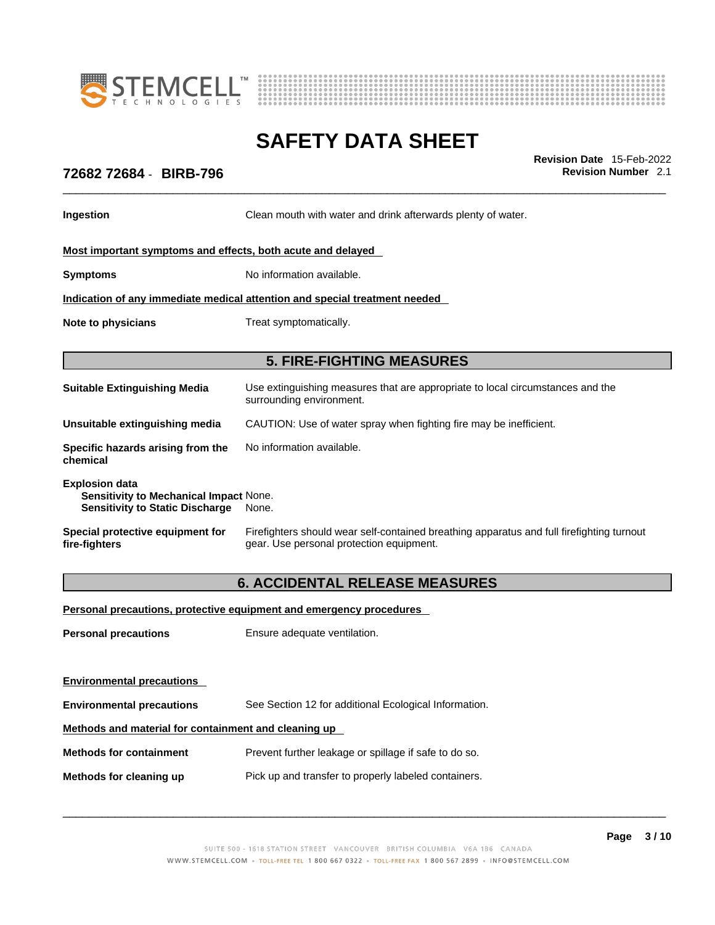



\_\_\_\_\_\_\_\_\_\_\_\_\_\_\_\_\_\_\_\_\_\_\_\_\_\_\_\_\_\_\_\_\_\_\_\_\_\_\_\_\_\_\_\_\_\_\_\_\_\_\_\_\_\_\_\_\_\_\_\_\_\_\_\_\_\_\_\_\_\_\_\_\_\_\_\_\_\_\_\_\_\_\_\_\_\_\_\_\_\_\_\_\_ **Revision Date** 15-Feb-2022

# **72682 72684** - **BIRB-796 Revision Number** 2.1

**Ingestion Clean mouth with water and drink afterwards plenty of water.** 

### **Most important symptoms and effects, both acute and delayed**

**Symptoms** No information available.

**Indication of any immediate medical attention and special treatment needed**

**Note to physicians** Treat symptomatically.

## **5. FIRE-FIGHTING MEASURES**

| <b>Suitable Extinguishing Media</b>                                                                              | Use extinguishing measures that are appropriate to local circumstances and the<br>surrounding environment. |
|------------------------------------------------------------------------------------------------------------------|------------------------------------------------------------------------------------------------------------|
| Unsuitable extinguishing media                                                                                   | CAUTION: Use of water spray when fighting fire may be inefficient.                                         |
| Specific hazards arising from the<br>chemical                                                                    | No information available.                                                                                  |
| <b>Explosion data</b><br><b>Sensitivity to Mechanical Impact None.</b><br><b>Sensitivity to Static Discharge</b> | None.                                                                                                      |

**Special protective equipment for fire-fighters** Firefighters should wear self-contained breathing apparatus and full firefighting turnout gear. Use personal protection equipment.

# **6. ACCIDENTAL RELEASE MEASURES**

### **Personal precautions, protective equipment and emergency procedures**

**Personal precautions** Ensure adequate ventilation.

**Environmental precautions** 

**Environmental precautions** See Section 12 for additional Ecological Information.

## **Methods and material for containment and cleaning up**

**Methods for containment** Prevent further leakage or spillage if safe to do so.

**Methods for cleaning up** Pick up and transfer to properly labeled containers.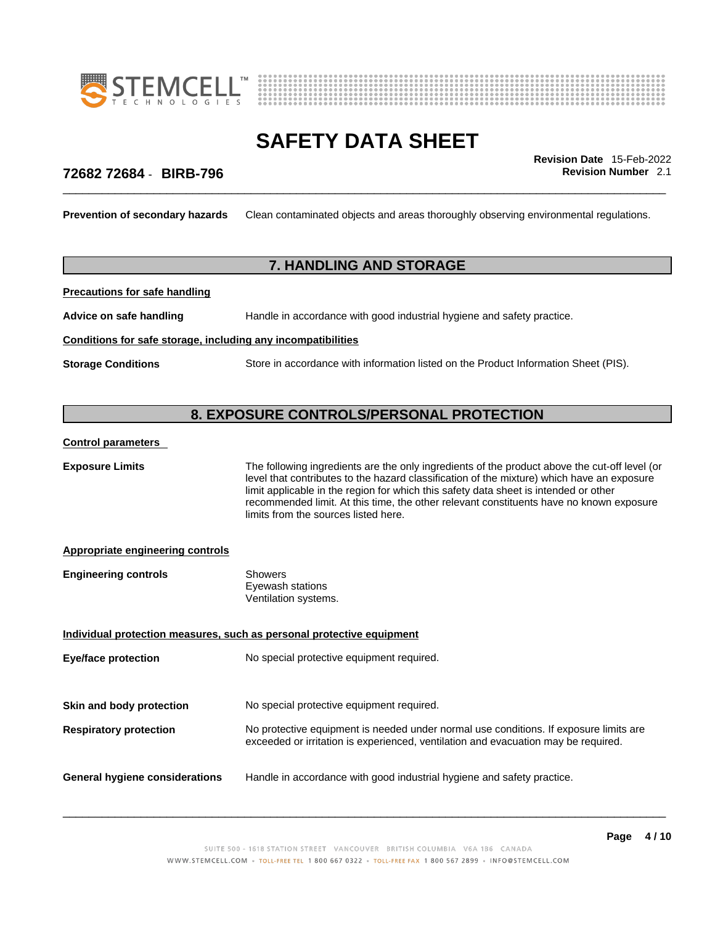



\_\_\_\_\_\_\_\_\_\_\_\_\_\_\_\_\_\_\_\_\_\_\_\_\_\_\_\_\_\_\_\_\_\_\_\_\_\_\_\_\_\_\_\_\_\_\_\_\_\_\_\_\_\_\_\_\_\_\_\_\_\_\_\_\_\_\_\_\_\_\_\_\_\_\_\_\_\_\_\_\_\_\_\_\_\_\_\_\_\_\_\_\_ **Revision Date** 15-Feb-2022

## **72682 72684** - **BIRB-796 Revision Number** 2.1

**Prevention of secondary hazards** Clean contaminated objects and areas thoroughly observing environmental regulations.

# **7. HANDLING AND STORAGE**

**Precautions for safe handling**

**Advice on safe handling** Handle in accordance with good industrial hygiene and safety practice.

### **Conditions for safe storage, including any incompatibilities**

**Storage Conditions** Store in accordance with information listed on the Product Information Sheet (PIS).

## **8. EXPOSURE CONTROLS/PERSONAL PROTECTION**

### **Control parameters**

**Exposure Limits** The following ingredients are the only ingredients of the product above the cut-off level (or level that contributes to the hazard classification of the mixture) which have an exposure limit applicable in the region for which this safety data sheet is intended or other recommended limit. At this time, the other relevant constituents have no known exposure limits from the sources listed here.

### **Appropriate engineering controls**

| <b>Engineering controls</b> | Showers              |  |
|-----------------------------|----------------------|--|
|                             | Eyewash stations     |  |
|                             | Ventilation systems. |  |

**Individual protection measures, such as personal protective equipment Eye/face protection** No special protective equipment required. **Skin and body protection** No special protective equipment required. **Respiratory protection** No protective equipment is needed under normal use conditions. If exposure limits are exceeded or irritation is experienced, ventilation and evacuation may be required. **General hygiene considerations** Handle in accordance with good industrial hygiene and safety practice.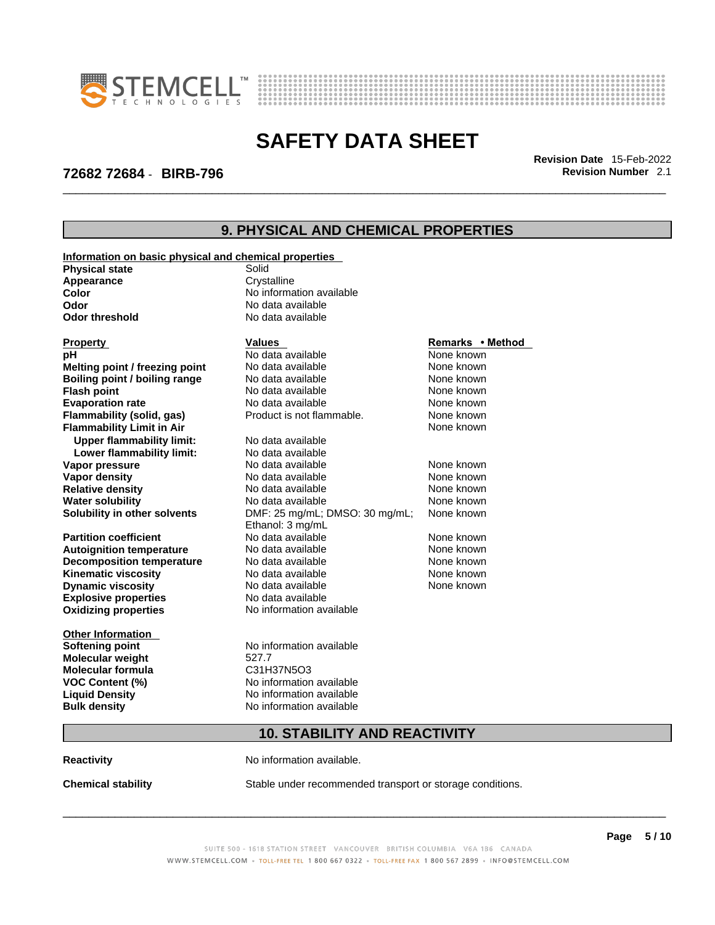

**Information on basic physical and chemical properties**



# **SAFETY DATA SHEET**

\_\_\_\_\_\_\_\_\_\_\_\_\_\_\_\_\_\_\_\_\_\_\_\_\_\_\_\_\_\_\_\_\_\_\_\_\_\_\_\_\_\_\_\_\_\_\_\_\_\_\_\_\_\_\_\_\_\_\_\_\_\_\_\_\_\_\_\_\_\_\_\_\_\_\_\_\_\_\_\_\_\_\_\_\_\_\_\_\_\_\_\_\_ **Revision Date** 15-Feb-2022

# **72682 72684** - **BIRB-796 Revision Number** 2.1

# **9. PHYSICAL AND CHEMICAL PROPERTIES**

| <b>Physical state</b>            | <u>Information on basic priysical and chemical properties</u><br>Solid |                  |
|----------------------------------|------------------------------------------------------------------------|------------------|
| Appearance                       | Crystalline                                                            |                  |
| Color                            | No information available                                               |                  |
| Odor                             | No data available                                                      |                  |
| <b>Odor threshold</b>            | No data available                                                      |                  |
|                                  |                                                                        |                  |
| <b>Property</b>                  | <b>Values</b>                                                          | Remarks • Method |
| рH                               | No data available                                                      | None known       |
| Melting point / freezing point   | No data available                                                      | None known       |
| Boiling point / boiling range    | No data available                                                      | None known       |
| <b>Flash point</b>               | No data available                                                      | None known       |
| <b>Evaporation rate</b>          | No data available                                                      | None known       |
| Flammability (solid, gas)        | Product is not flammable.                                              | None known       |
| <b>Flammability Limit in Air</b> |                                                                        | None known       |
| <b>Upper flammability limit:</b> | No data available                                                      |                  |
| Lower flammability limit:        | No data available                                                      |                  |
| Vapor pressure                   | No data available                                                      | None known       |
| <b>Vapor density</b>             | No data available                                                      | None known       |
| <b>Relative density</b>          | No data available                                                      | None known       |
| <b>Water solubility</b>          | No data available                                                      | None known       |
| Solubility in other solvents     | DMF: 25 mg/mL; DMSO: 30 mg/mL;                                         | None known       |
|                                  | Ethanol: 3 mg/mL                                                       |                  |
| <b>Partition coefficient</b>     | No data available                                                      | None known       |
| <b>Autoignition temperature</b>  | No data available                                                      | None known       |
| <b>Decomposition temperature</b> | No data available                                                      | None known       |
| <b>Kinematic viscosity</b>       | No data available                                                      | None known       |
| <b>Dynamic viscosity</b>         | No data available                                                      | None known       |
| <b>Explosive properties</b>      | No data available                                                      |                  |
| <b>Oxidizing properties</b>      | No information available                                               |                  |
| <b>Other Information</b>         |                                                                        |                  |
| <b>Softening point</b>           | No information available                                               |                  |
| <b>Molecular weight</b>          | 527.7                                                                  |                  |
| <b>Molecular formula</b>         | C31H37N5O3                                                             |                  |
| <b>VOC Content (%)</b>           | No information available                                               |                  |
| <b>Liquid Density</b>            | No information available                                               |                  |
| <b>Bulk density</b>              | No information available                                               |                  |
|                                  |                                                                        |                  |
|                                  | <b>10. STABILITY AND REACTIVITY</b>                                    |                  |

**Reactivity No information available.** 

**Chemical stability** Stable under recommended transport or storage conditions.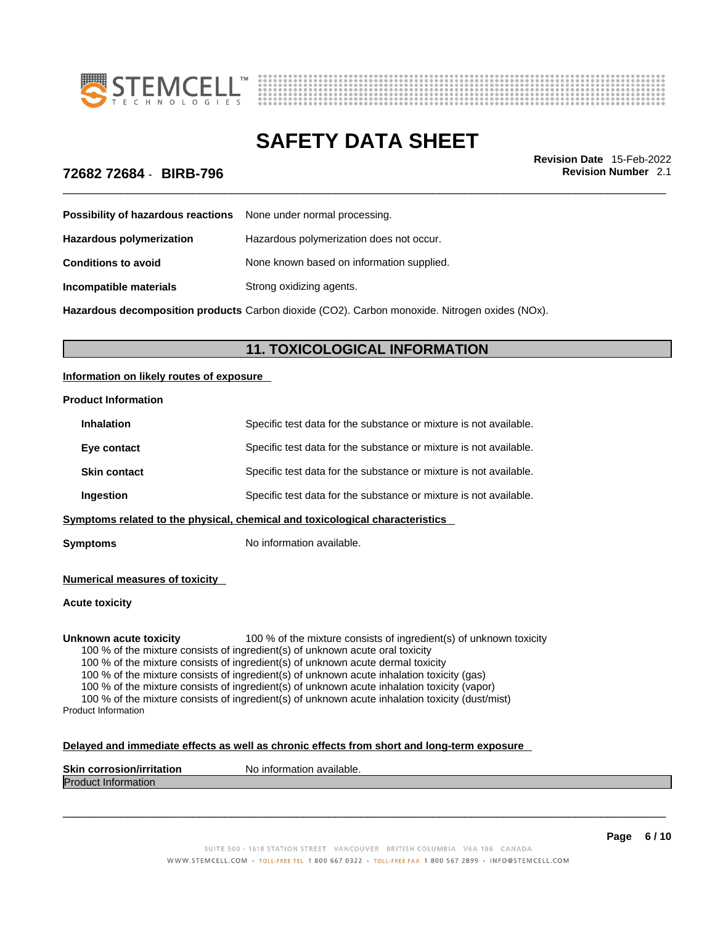



\_\_\_\_\_\_\_\_\_\_\_\_\_\_\_\_\_\_\_\_\_\_\_\_\_\_\_\_\_\_\_\_\_\_\_\_\_\_\_\_\_\_\_\_\_\_\_\_\_\_\_\_\_\_\_\_\_\_\_\_\_\_\_\_\_\_\_\_\_\_\_\_\_\_\_\_\_\_\_\_\_\_\_\_\_\_\_\_\_\_\_\_\_ **Revision Date** 15-Feb-2022

## **72682 72684** - **BIRB-796 Revision Number** 2.1

| <b>Possibility of hazardous reactions</b> None under normal processing. |                                           |
|-------------------------------------------------------------------------|-------------------------------------------|
| <b>Hazardous polymerization</b>                                         | Hazardous polymerization does not occur.  |
| <b>Conditions to avoid</b>                                              | None known based on information supplied. |
| Incompatible materials                                                  | Strong oxidizing agents.                  |

**Hazardous decomposition products** Carbon dioxide (CO2). Carbon monoxide. Nitrogen oxides (NOx).

# **11. TOXICOLOGICAL INFORMATION**

### **Information on likely routes of exposure**

### **Product Information**

| <b>Inhalation</b>   | Specific test data for the substance or mixture is not available.            |
|---------------------|------------------------------------------------------------------------------|
| Eye contact         | Specific test data for the substance or mixture is not available.            |
| <b>Skin contact</b> | Specific test data for the substance or mixture is not available.            |
| Ingestion           | Specific test data for the substance or mixture is not available.            |
|                     | Symptoms related to the physical, chemical and toxicological characteristics |
|                     |                                                                              |

**Symptoms** No information available.

### **Numerical measures of toxicity**

### **Acute toxicity**

**Unknown acute toxicity** 100 % of the mixture consists of ingredient(s) of unknown toxicity

100 % of the mixture consists of ingredient(s) of unknown acute oral toxicity

100 % of the mixture consists of ingredient(s) of unknown acute dermal toxicity

100 % of the mixture consists of ingredient(s) of unknown acute inhalation toxicity (gas)

100 % of the mixture consists of ingredient(s) of unknown acute inhalation toxicity (vapor)

100 % of the mixture consists of ingredient(s) of unknown acute inhalation toxicity (dust/mist) Product Information

| Delayed and immediate effects as well as chronic effects from short and long-term exposure |
|--------------------------------------------------------------------------------------------|
|--------------------------------------------------------------------------------------------|

| <b>Skin corrosion/irritation</b> | No information available. |
|----------------------------------|---------------------------|
| <b>Product Information</b>       |                           |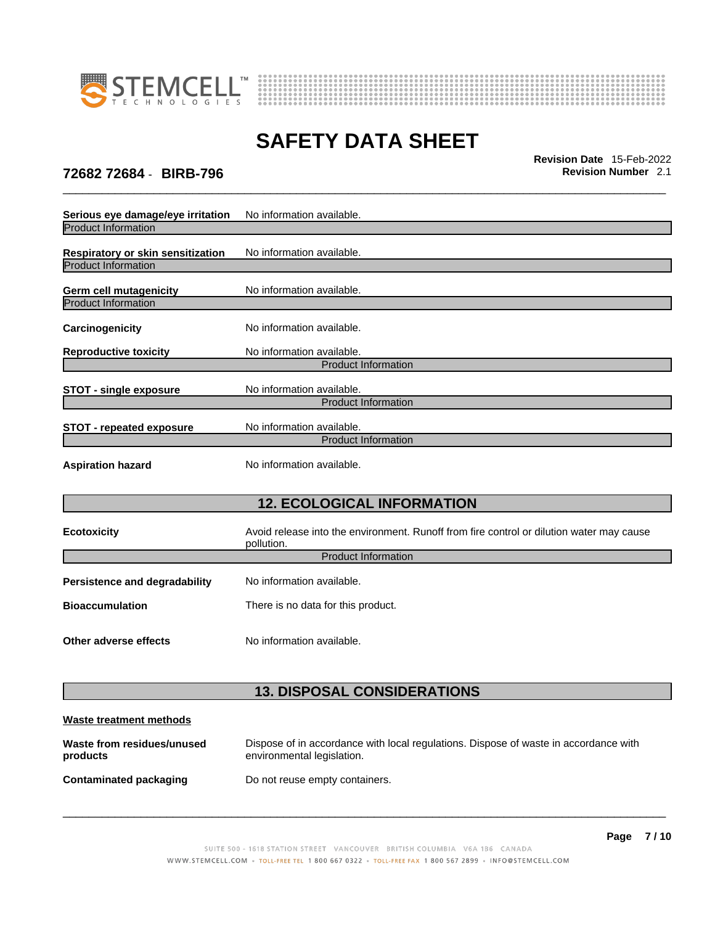



\_\_\_\_\_\_\_\_\_\_\_\_\_\_\_\_\_\_\_\_\_\_\_\_\_\_\_\_\_\_\_\_\_\_\_\_\_\_\_\_\_\_\_\_\_\_\_\_\_\_\_\_\_\_\_\_\_\_\_\_\_\_\_\_\_\_\_\_\_\_\_\_\_\_\_\_\_\_\_\_\_\_\_\_\_\_\_\_\_\_\_\_\_ **Revision Date** 15-Feb-2022

# **72682 72684** - **BIRB-796 Revision Number** 2.1

| Serious eye damage/eye irritation<br><b>Product Information</b> | No information available.                                                                              |
|-----------------------------------------------------------------|--------------------------------------------------------------------------------------------------------|
| Respiratory or skin sensitization<br><b>Product Information</b> | No information available.                                                                              |
| Germ cell mutagenicity<br><b>Product Information</b>            | No information available.                                                                              |
| Carcinogenicity                                                 | No information available.                                                                              |
| <b>Reproductive toxicity</b>                                    | No information available.<br><b>Product Information</b>                                                |
| <b>STOT - single exposure</b>                                   | No information available.<br><b>Product Information</b>                                                |
| <b>STOT - repeated exposure</b>                                 | No information available.<br><b>Product Information</b>                                                |
| <b>Aspiration hazard</b>                                        | No information available.                                                                              |
|                                                                 | <b>12. ECOLOGICAL INFORMATION</b>                                                                      |
| <b>Ecotoxicity</b>                                              | Avoid release into the environment. Runoff from fire control or dilution water may cause<br>pollution. |
|                                                                 | <b>Product Information</b>                                                                             |
| <b>Persistence and degradability</b>                            | No information available.                                                                              |
| <b>Bioaccumulation</b>                                          | There is no data for this product.                                                                     |
| Other adverse effects                                           | No information available.                                                                              |
|                                                                 |                                                                                                        |

# **13. DISPOSAL CONSIDERATIONS**

| Waste treatment methods                |                                                                                                                    |
|----------------------------------------|--------------------------------------------------------------------------------------------------------------------|
| Waste from residues/unused<br>products | Dispose of in accordance with local regulations. Dispose of waste in accordance with<br>environmental legislation. |
| Contaminated packaging                 | Do not reuse empty containers.                                                                                     |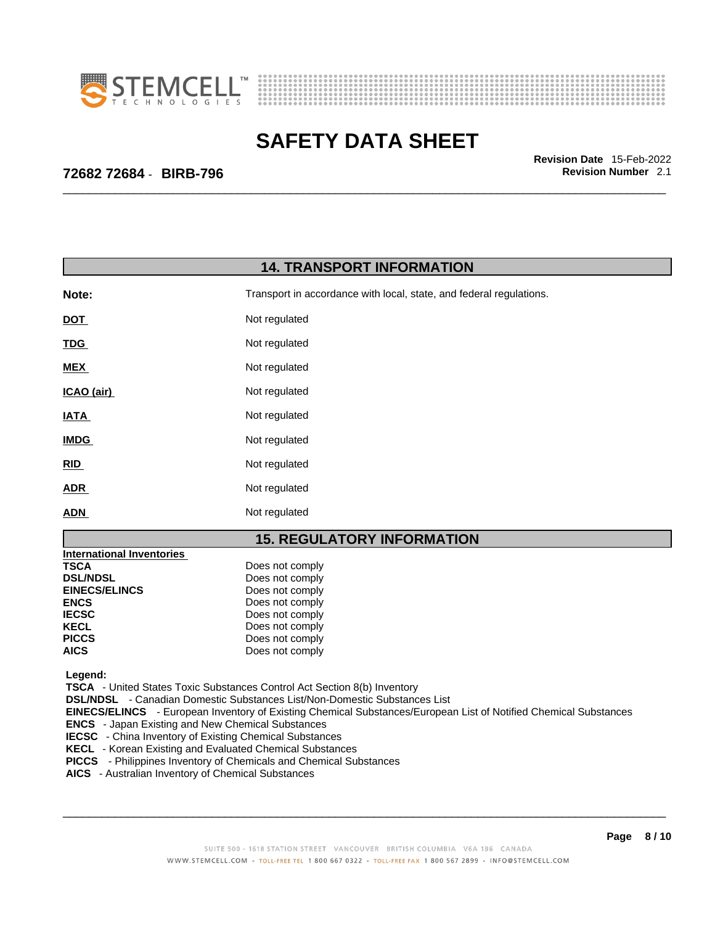



\_\_\_\_\_\_\_\_\_\_\_\_\_\_\_\_\_\_\_\_\_\_\_\_\_\_\_\_\_\_\_\_\_\_\_\_\_\_\_\_\_\_\_\_\_\_\_\_\_\_\_\_\_\_\_\_\_\_\_\_\_\_\_\_\_\_\_\_\_\_\_\_\_\_\_\_\_\_\_\_\_\_\_\_\_\_\_\_\_\_\_\_\_ **Revision Date** 15-Feb-2022

# **72682 72684** - **BIRB-796 Revision Number** 2.1

| <b>14. TRANSPORT INFORMATION</b>                                                                                                                                                   |                                                                                                                                                                                                                                                                                                                                                                                                                                                               |  |
|------------------------------------------------------------------------------------------------------------------------------------------------------------------------------------|---------------------------------------------------------------------------------------------------------------------------------------------------------------------------------------------------------------------------------------------------------------------------------------------------------------------------------------------------------------------------------------------------------------------------------------------------------------|--|
| Note:                                                                                                                                                                              | Transport in accordance with local, state, and federal regulations.                                                                                                                                                                                                                                                                                                                                                                                           |  |
| <b>DOT</b>                                                                                                                                                                         | Not regulated                                                                                                                                                                                                                                                                                                                                                                                                                                                 |  |
| TDG                                                                                                                                                                                | Not regulated                                                                                                                                                                                                                                                                                                                                                                                                                                                 |  |
| MEX                                                                                                                                                                                | Not regulated                                                                                                                                                                                                                                                                                                                                                                                                                                                 |  |
| ICAO (air)                                                                                                                                                                         | Not regulated                                                                                                                                                                                                                                                                                                                                                                                                                                                 |  |
| <b>IATA</b>                                                                                                                                                                        | Not regulated                                                                                                                                                                                                                                                                                                                                                                                                                                                 |  |
| <b>IMDG</b>                                                                                                                                                                        | Not regulated                                                                                                                                                                                                                                                                                                                                                                                                                                                 |  |
| RID                                                                                                                                                                                | Not regulated                                                                                                                                                                                                                                                                                                                                                                                                                                                 |  |
| ADR                                                                                                                                                                                | Not regulated                                                                                                                                                                                                                                                                                                                                                                                                                                                 |  |
| <b>ADN</b>                                                                                                                                                                         | Not regulated                                                                                                                                                                                                                                                                                                                                                                                                                                                 |  |
|                                                                                                                                                                                    | <b>15. REGULATORY INFORMATION</b>                                                                                                                                                                                                                                                                                                                                                                                                                             |  |
| <b>International Inventories</b><br><b>TSCA</b><br><b>DSL/NDSL</b><br><b>EINECS/ELINCS</b><br><b>ENCS</b><br><b>IECSC</b><br><b>KECL</b><br><b>PICCS</b><br><b>AICS</b><br>Legend: | Does not comply<br>Does not comply<br>Does not comply<br>Does not comply<br>Does not comply<br>Does not comply<br>Does not comply<br>Does not comply<br><b>TSCA</b> - United States Toxic Substances Control Act Section 8(b) Inventory                                                                                                                                                                                                                       |  |
| AICS - Australian Inventory of Chemical Substances                                                                                                                                 | DSL/NDSL - Canadian Domestic Substances List/Non-Domestic Substances List<br>EINECS/ELINCS - European Inventory of Existing Chemical Substances/European List of Notified Chemical Substances<br><b>ENCS</b> - Japan Existing and New Chemical Substances<br><b>IECSC</b> - China Inventory of Existing Chemical Substances<br>KECL - Korean Existing and Evaluated Chemical Substances<br>PICCS - Philippines Inventory of Chemicals and Chemical Substances |  |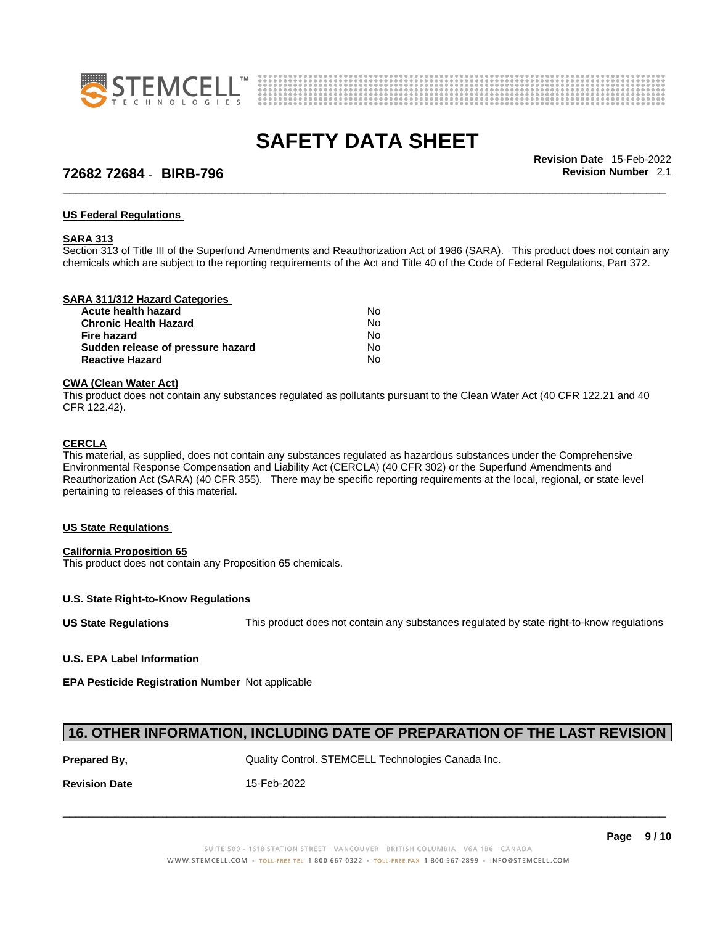



# **72682 72684** - **BIRB-796 Revision Number** 2.1

\_\_\_\_\_\_\_\_\_\_\_\_\_\_\_\_\_\_\_\_\_\_\_\_\_\_\_\_\_\_\_\_\_\_\_\_\_\_\_\_\_\_\_\_\_\_\_\_\_\_\_\_\_\_\_\_\_\_\_\_\_\_\_\_\_\_\_\_\_\_\_\_\_\_\_\_\_\_\_\_\_\_\_\_\_\_\_\_\_\_\_\_\_ **Revision Date** 15-Feb-2022

### **US Federal Regulations**

### **SARA 313**

Section 313 of Title III of the Superfund Amendments and Reauthorization Act of 1986 (SARA). This product does not contain any chemicals which are subject to the reporting requirements of the Act and Title 40 of the Code of Federal Regulations, Part 372.

### **SARA 311/312 Hazard Categories**

| No. |  |
|-----|--|
| No. |  |
| No. |  |
| No. |  |
| No. |  |
|     |  |

### **CWA** (Clean Water Act)

This product does not contain any substances regulated as pollutants pursuant to the Clean Water Act (40 CFR 122.21 and 40 CFR 122.42).

### **CERCLA**

This material, as supplied, does not contain any substances regulated as hazardous substances under the Comprehensive Environmental Response Compensation and Liability Act (CERCLA) (40 CFR 302) or the Superfund Amendments and Reauthorization Act (SARA) (40 CFR 355). There may be specific reporting requirements at the local, regional, or state level pertaining to releases of this material.

### **US State Regulations**

### **California Proposition 65**

This product does not contain any Proposition 65 chemicals.

### **U.S. State Right-to-Know Regulations**

**US State Regulations** This product does not contain any substances regulated by state right-to-know regulations

**U.S. EPA Label Information** 

**EPA Pesticide Registration Number** Not applicable

## **16. OTHER INFORMATION, INCLUDING DATE OF PREPARATION OF THE LAST REVISION**

**Prepared By, State Control. STEMCELL Technologies Canada Inc.** Canada Inc.

**Revision Date** 15-Feb-2022